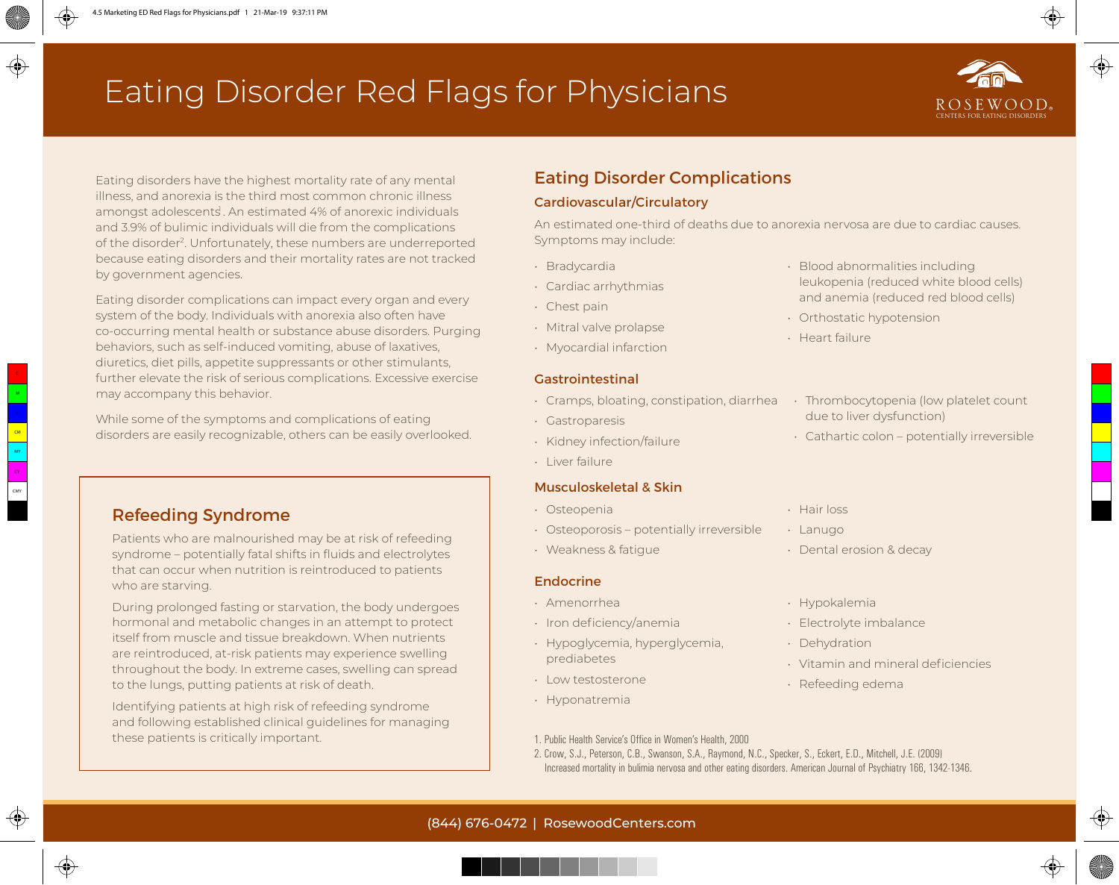# Eating Disorder Red Flags for Physicians



Eating disorders have the highest mortality rate of any mental illness, and anorexia is the third most common chronic illness amongst adolescents. An estimated 4% of anorexic individuals and 3.9% of bulimic individuals will die from the complications of the disorder2. Unfortunately, these numbers are underreported because eating disorders and their mortality rates are not tracked by government agencies.

Eating disorder complications can impact every organ and every system of the body. Individuals with anorexia also often have co-occurring mental health or substance abuse disorders. Purging behaviors, such as self-induced vomiting, abuse of laxatives, diuretics, diet pills, appetite suppressants or other stimulants, further elevate the risk of serious complications. Excessive exercise may accompany this behavior.

While some of the symptoms and complications of eating disorders are easily recognizable, others can be easily overlooked.

### Refeeding Syndrome

Patients who are malnourished may be at risk of refeeding syndrome – potentially fatal shifts in fluids and electrolytes that can occur when nutrition is reintroduced to patients who are starving.

During prolonged fasting or starvation, the body undergoes hormonal and metabolic changes in an attempt to protect itself from muscle and tissue breakdown. When nutrients are reintroduced, at-risk patients may experience swelling throughout the body. In extreme cases, swelling can spread to the lungs, putting patients at risk of death.

Identifying patients at high risk of refeeding syndrome and following established clinical guidelines for managing these patients is critically important.

## Eating Disorder Complications

#### Cardiovascular/Circulatory

An estimated one-third of deaths due to anorexia nervosa are due to cardiac causes. Symptoms may include:

- Bradycardia
- Cardiac arrhythmias
- Chest pain
- Mitral valve prolapse
- Myocardial infarction

#### Gastrointestinal

- Cramps, bloating, constipation, diarrhea Thrombocytopenia (low platelet count
- Gastroparesis
- Kidney infection/failure
- Liver failure

#### Musculoskeletal & Skin

- Osteopenia
- Osteoporosis potentially irreversible
- Weakness & fatigue

#### Endocrine

- Amenorrhea
- Iron deficiency/anemia
- Hypoglycemia, hyperglycemia, prediabetes
- Low testosterone
- Hyponatremia
- Lanugo • Dental erosion & decay
- Hypokalemia

• Hair loss

- Electrolyte imbalance
- Dehydration
- Vitamin and mineral deficiencies
- Refeeding edema
- 1. Public Health Service's Office in Women's Health, 2000
- 2. Crow, S.J., Peterson, C.B., Swanson, S.A., Raymond, N.C., Specker, S., Eckert, E.D., Mitchell, J.E. (2009) Increased mortality in bulimia nervosa and other eating disorders. American Journal of Psychiatry 166, 1342-1346.
- Blood abnormalities including leukopenia (reduced white blood cells) and anemia (reduced red blood cells)
- Orthostatic hypotension
- Heart failure
	- due to liver dysfunction)
- Cathartic colon potentially irreversible